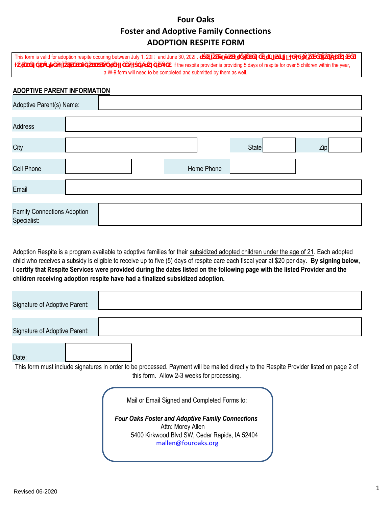## **Four Oaks Foster and Adoptive Family Connections ADOPTION RESPITE FORM**

This form is valid for adoption respite occuring between July 1, 20  $\&$  and June 30, 202% $\mathbf{u}$  **interally interally in the**  $\mathbf{K}$ **S i i** *s n* **i i** *s n* **i** *s* **i i** the respite provider is providing 5 days of respite for over 5 children within the year, a W-9 form will need to be completed and submitted by them as well.

## **ADOPTIVE PARENT INFORMATION**

| Adoptive Parent(s) Name:                          |  |            |              |     |
|---------------------------------------------------|--|------------|--------------|-----|
| Address                                           |  |            |              |     |
| City                                              |  |            | <b>State</b> | Zip |
| Cell Phone                                        |  | Home Phone |              |     |
| Email                                             |  |            |              |     |
| <b>Family Connections Adoption</b><br>Specialist: |  |            |              |     |

Adoption Respite is a program available to adoptive families for their subsidized adopted children under the age of 21. Each adopted child who receives a subsidy is eligible to receive up to five (5) days of respite care each fiscal year at \$20 per day. **By signing below, I certify that Respite Services were provided during the dates listed on the following page with the listed Provider and the children receiving adoption respite have had a finalized subsidized adoption.** 

| Signature of Adoptive Parent: |                                                                                                                                                                                                      |
|-------------------------------|------------------------------------------------------------------------------------------------------------------------------------------------------------------------------------------------------|
| Signature of Adoptive Parent: |                                                                                                                                                                                                      |
| Date:                         | This form must include signatures in order to be processed. Payment will be mailed directly to the Respite Provider listed on page 2 of<br>this form. Allow 2-3 weeks for processing.                |
|                               | Mail or Email Signed and Completed Forms to:<br><b>Four Oaks Foster and Adoptive Family Connections</b><br>Attn: Morey Allen<br>5400 Kirkwood Blvd SW, Cedar Rapids, IA 52404<br>mallen@fouroaks.org |